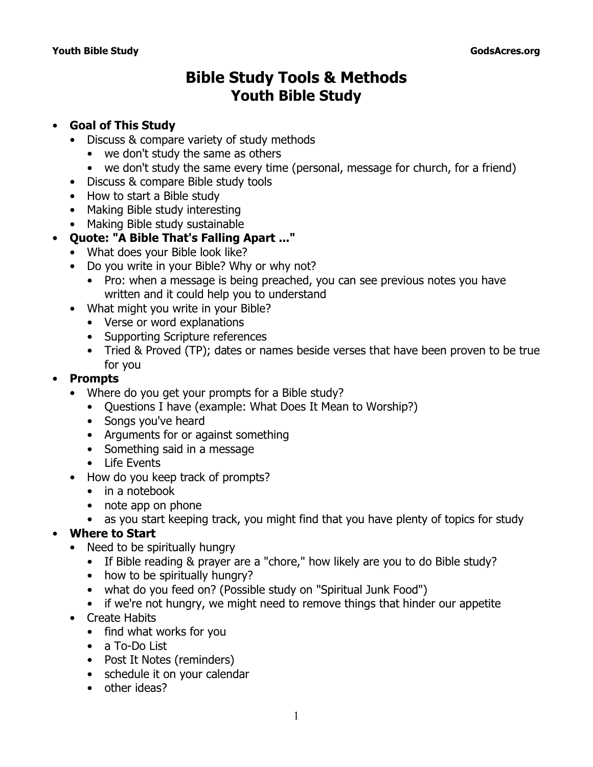# **Bible Study Tools & Methods Youth Bible Study**

#### • **Goal of This Study**

- Discuss & compare variety of study methods
	- we don't study the same as others
	- we don't study the same every time (personal, message for church, for a friend)
- Discuss & compare Bible study tools
- How to start a Bible study
- Making Bible study interesting
- Making Bible study sustainable
- **Quote: "A Bible That's Falling Apart ..."**
	- What does your Bible look like?
	- Do you write in your Bible? Why or why not?
		- Pro: when a message is being preached, you can see previous notes you have written and it could help you to understand
	- *What* might you write in your Bible?
		- Verse or word explanations
		- Supporting Scripture references
		- Tried & Proved (TP); dates or names beside verses that have been proven to be true for you

#### • **Prompts**

- Where do you get your prompts for a Bible study?
	- Questions I have (example: What Does It Mean to Worship?)
	- Songs you've heard
	- Arguments for or against something
	- Something said in a message
	- Life Events
- How do you keep track of prompts?
	- in a notebook
	- note app on phone
	- as you start keeping track, you might find that you have plenty of topics for study

## • **Where to Start**

- Need to be spiritually hungry
	- If Bible reading & prayer are a "chore," how likely are you to do Bible study?
	- how to be spiritually hungry?
	- what do you feed on? (Possible study on "Spiritual Junk Food")
	- if we're not hungry, we might need to remove things that hinder our appetite
- Create Habits
	- find what works for you
	- a To-Do List
	- Post It Notes (reminders)
	- schedule it on your calendar
	- other ideas?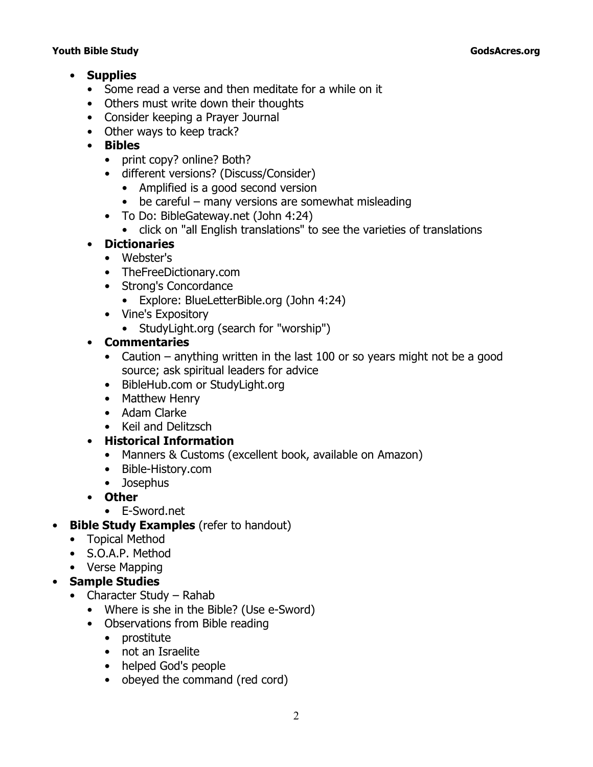#### **Youth Bible Study GodsAcres.org**

- **Supplies**
	- Some read a verse and then meditate for a while on it
	- Others must write down their thoughts
	- Consider keeping a Prayer Journal
	- Other ways to keep track?
	- **Bibles**
		- print copy? online? Both?
		- different versions? (Discuss/Consider)
			- Amplified is a good second version
			- be careful many versions are somewhat misleading
		- To Do: BibleGateway.net (John 4:24)
			- click on "all English translations" to see the varieties of translations

#### • **Dictionaries**

- Webster's
- TheFreeDictionary.com
- Strong's Concordance
	- Explore: BlueLetterBible.org (John 4:24)
- Vine's Expository
	- StudyLight.org (search for "worship")

#### • **Commentaries**

- Caution anything written in the last 100 or so years might not be a good source; ask spiritual leaders for advice
- BibleHub.com or StudyLight.org
- Matthew Henry
- Adam Clarke
- Keil and Delitzsch
- **Historical Information**
	- *Manners & Customs* (excellent book, available on Amazon)
	- Bible-History.com
	- Josephus
- **Other**
- E-Sword.net

#### • **Bible Study Examples** (refer to handout)

- Topical Method
- S.O.A.P. Method
- Verse Mapping
- **Sample Studies**
	- Character Study Rahab
		- Where is she in the Bible? (Use e-Sword)
		- Observations from Bible reading
			- prostitute
			- not an Israelite
			- helped God's people
			- obeyed the command (red cord)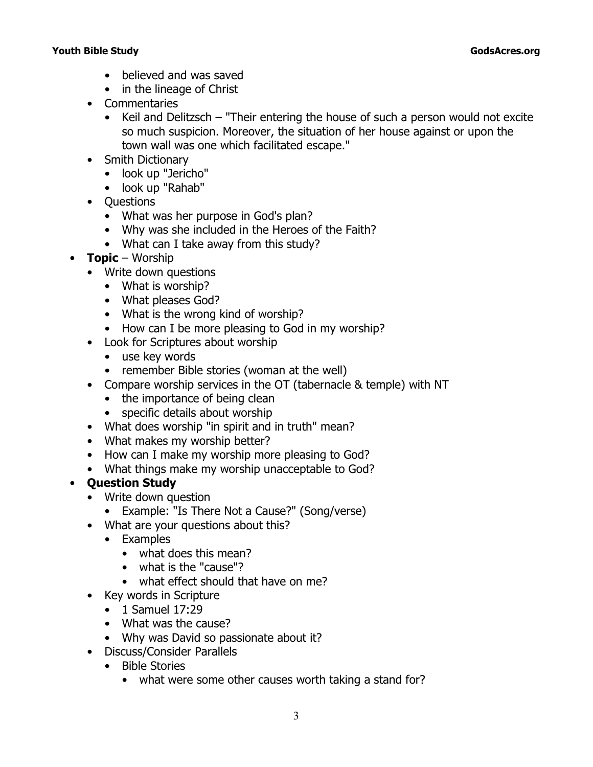#### **Youth Bible Study GodsAcres.org**

- believed and was saved
- in the lineage of Christ
- Commentaries
	- Keil and Delitzsch "Their entering the house of such a person would not excite so much suspicion. Moreover, the situation of her house against or upon the town wall was one which facilitated escape."
- Smith Dictionary
	- look up "Jericho"
	- look up "Rahab"
- Questions
	- What was her purpose in God's plan?
	- Why was she included in the Heroes of the Faith?
	- What can I take away from this study?
- **Topic** Worship
	- Write down questions
		- What is worship?
		- What pleases God?
		- What is the wrong kind of worship?
		- How can I be more pleasing to God in my worship?
	- Look for Scriptures about worship
		- use key words
		- remember Bible stories (woman at the well)
	- Compare worship services in the OT (tabernacle & temple) with NT
		- the importance of being clean
		- specific details about worship
	- What does worship "in spirit and in truth" mean?
	- What makes my worship better?
	- How can I make my worship more pleasing to God?
	- What things make my worship unacceptable to God?

## • **Question Study**

- Write down question
	- Example: "Is There Not a Cause?" (Song/verse)
- What are your questions about this?
	- Examples
		- what does this mean?
		- what is the "cause"?
		- what effect should that have on me?
- Key words in Scripture
	- 1 Samuel 17:29
	- What was the cause?
	- Why was David so passionate about it?
- Discuss/Consider Parallels
	- Bible Stories
		- what were some other causes worth taking a stand for?